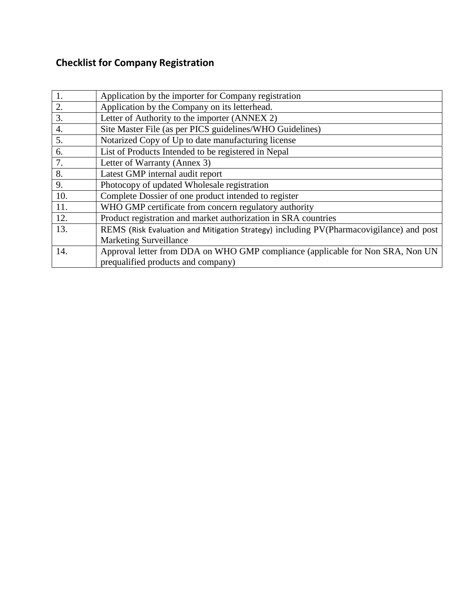# **Checklist for Company Registration**

| 1.               | Application by the importer for Company registration                                     |
|------------------|------------------------------------------------------------------------------------------|
| 2.               | Application by the Company on its letterhead.                                            |
| 3.               | Letter of Authority to the importer (ANNEX 2)                                            |
| $\overline{4}$ . | Site Master File (as per PICS guidelines/WHO Guidelines)                                 |
| 5.               | Notarized Copy of Up to date manufacturing license                                       |
| 6.               | List of Products Intended to be registered in Nepal                                      |
| 7.               | Letter of Warranty (Annex 3)                                                             |
| 8.               | Latest GMP internal audit report                                                         |
| 9.               | Photocopy of updated Wholesale registration                                              |
| 10.              | Complete Dossier of one product intended to register                                     |
| 11.              | WHO GMP certificate from concern regulatory authority                                    |
| 12.              | Product registration and market authorization in SRA countries                           |
| 13.              | REMS (Risk Evaluation and Mitigation Strategy) including PV (Pharmacovigilance) and post |
|                  | <b>Marketing Surveillance</b>                                                            |
| 14.              | Approval letter from DDA on WHO GMP compliance (applicable for Non SRA, Non UN           |
|                  | prequalified products and company)                                                       |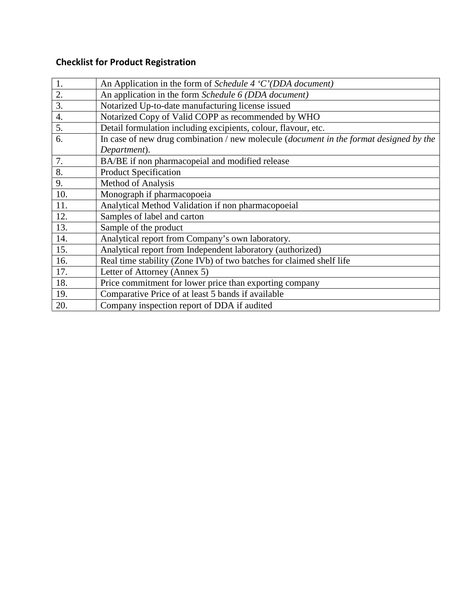# **Checklist for Product Registration**

| 1.  | An Application in the form of Schedule 4 $^{\circ}$ C $^{\circ}$ (DDA document)                |
|-----|------------------------------------------------------------------------------------------------|
| 2.  | An application in the form Schedule 6 (DDA document)                                           |
| 3.  | Notarized Up-to-date manufacturing license issued                                              |
| 4.  | Notarized Copy of Valid COPP as recommended by WHO                                             |
| 5.  | Detail formulation including excipients, colour, flavour, etc.                                 |
| 6.  | In case of new drug combination / new molecule ( <i>document in the format designed by the</i> |
|     | Department).                                                                                   |
| 7.  | BA/BE if non pharmacopeial and modified release                                                |
| 8.  | <b>Product Specification</b>                                                                   |
| 9.  | <b>Method of Analysis</b>                                                                      |
| 10. | Monograph if pharmacopoeia                                                                     |
| 11. | Analytical Method Validation if non pharmacopoeial                                             |
| 12. | Samples of label and carton                                                                    |
| 13. | Sample of the product                                                                          |
| 14. | Analytical report from Company's own laboratory.                                               |
| 15. | Analytical report from Independent laboratory (authorized)                                     |
| 16. | Real time stability (Zone IVb) of two batches for claimed shelf life                           |
| 17. | Letter of Attorney (Annex 5)                                                                   |
| 18. | Price commitment for lower price than exporting company                                        |
| 19. | Comparative Price of at least 5 bands if available                                             |
| 20. | Company inspection report of DDA if audited                                                    |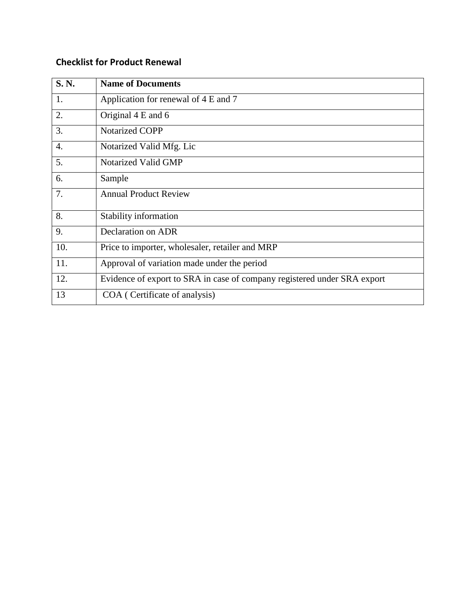#### **Checklist for Product Renewal**

| S. N.            | <b>Name of Documents</b>                                                 |
|------------------|--------------------------------------------------------------------------|
| 1.               | Application for renewal of 4 E and 7                                     |
| 2.               | Original 4 E and 6                                                       |
| 3.               | <b>Notarized COPP</b>                                                    |
| $\overline{4}$ . | Notarized Valid Mfg. Lic                                                 |
| 5.               | Notarized Valid GMP                                                      |
| 6.               | Sample                                                                   |
| 7.               | <b>Annual Product Review</b>                                             |
| 8.               | Stability information                                                    |
| 9.               | <b>Declaration on ADR</b>                                                |
| 10.              | Price to importer, wholesaler, retailer and MRP                          |
| 11.              | Approval of variation made under the period                              |
| 12.              | Evidence of export to SRA in case of company registered under SRA export |
| 13               | COA (Certificate of analysis)                                            |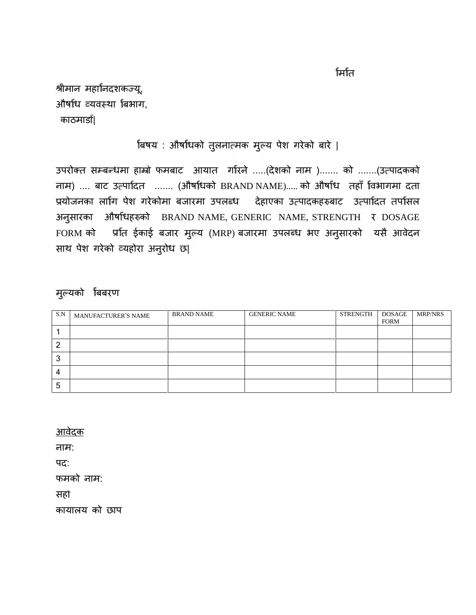मिति

श्रीमान महानिदशकज्यू, औषधि व्यवस्था बिभाग, काठमाडौं|

#### बिषय : औषधिको तुलनात्मक मुल्य पेश गरेको बारे |

उपरोक्त सम्बन्धमा हाम्रो फमबाट आयात गरिने .....(देशको नाम )....... को .......(उत्पादकको नाम) .... बाट उ पा दत ....... (औष धको BRAND NAME)..... को औष ध तहाँ वभागमा दता प्रयोजनका लागि पेश गरेकोमा बजारमा उपलब्ध देहाएका उत्पादकहरुबाट उत्पादित तर्पासल अनुसारका औष धह को BRAND NAME, GENERIC NAME, STRENGTH र DOSAGE FORM को प्रांत ईकाई बजार मुल्य (MRP) बजारमा उपलब्ध भए अनुसारको यसै आवेदन साथ पेश गरेको यहोरा अनुरोध छ|

### मुयको बबरण

| S.N | <b>MANUFACTURER'S NAME</b> | <b>BRAND NAME</b> | <b>GENERIC NAME</b> | STRENGTH | DOSAGE<br><b>FORM</b> | <b>MRP/NRS</b> |
|-----|----------------------------|-------------------|---------------------|----------|-----------------------|----------------|
|     |                            |                   |                     |          |                       |                |
| റ   |                            |                   |                     |          |                       |                |
| 3   |                            |                   |                     |          |                       |                |
| 4   |                            |                   |                     |          |                       |                |
| 5   |                            |                   |                     |          |                       |                |

आवेदक

नाम:

पद:

फमको नाम:

सहो

कायालय को छाप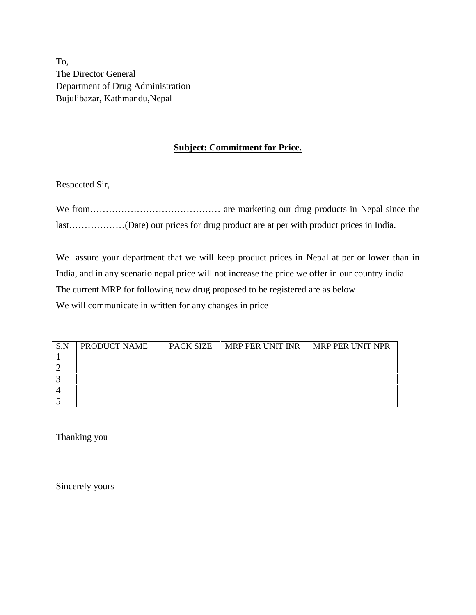To, The Director General Department of Drug Administration Bujulibazar, Kathmandu,Nepal

#### **Subject: Commitment for Price.**

Respected Sir,

We from…………………………………… are marketing our drug products in Nepal since the last………………(Date) our prices for drug product are at per with product prices in India.

We assure your department that we will keep product prices in Nepal at per or lower than in India, and in any scenario nepal price will not increase the price we offer in our country india. The current MRP for following new drug proposed to be registered are as below We will communicate in written for any changes in price

| S.N | <b>PRODUCT NAME</b> | PACK SIZE   MRP PER UNIT INR   MRP PER UNIT NPR |  |
|-----|---------------------|-------------------------------------------------|--|
|     |                     |                                                 |  |
|     |                     |                                                 |  |
|     |                     |                                                 |  |
|     |                     |                                                 |  |
|     |                     |                                                 |  |

Thanking you

Sincerely yours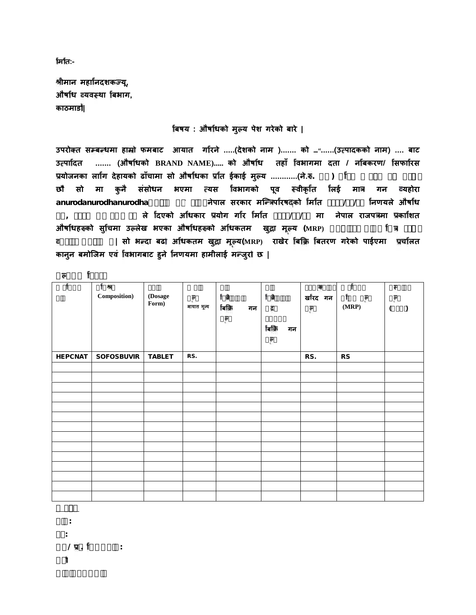**मिति:-**

**ीमान महा नदशक यू, औष ध यव था बभाग, काठमाड |**

**बषय : औष धको मुय पेश गरेको बारे |**

**उपरो त स ब धमा हा ो फमबाट आयात ग रने .....(देशको नाम )....... को ………......(उ पादकको नाम) .... बाट उ पा दत ....... (औष धको BRAND NAME)..... को औष ध तहाँ वभागमा दता / न बकरण/ सफा रस** प्रयोजनका लागि देहायको ढाँचामा सो औषधिका प्रांत ईकाई मुल्य …………(ने.रु. ) f<br>छौ सो मा कुनै संसोधन भएमा त्यस विभागको पूव स्वीकृति लिई मात्र गन व्यहोरा<br>anurodanurodhanurodha **anurodanurodhanurodhaअनुरोध गद हालै नेपाल सरकार मि प रष को म त २०७२/०३/२१ नणयले औष ध ऐन, २०३५ को दफा २६ ले दएको अ धकार योग ग र म त २०७२/०४/१८ मा नेपाल राजप मा का शत औष धह को सुचमा उ लेख भएका औष धह को अ धकतम खुा मूय (MRP) अनुसारकै सीमा रहेको यहोरा अनुरोध छ| सो भ दा बढ अ धकतम खुा मूय(MRP) राखेर <sup>ब</sup> बतरण गरेको पाईएमा <sup>च</sup> लत कानुन बमोिजम एवं वभागबाट हुने नणयमा हामीलाई म जुर छ |**

| f<br>$\overline{\mathbf{e}}$<br>f | f<br>樹<br>Composition) | (Dosage<br>Form) | ė.<br>आयात मूल्य | ਕਿ<br>বিক্লি<br>गन<br>è. | ਕਿ<br>À<br>বিক্লি<br>गन<br>$\overline{\mathbf{e}}$ | ą<br>खौरद गन<br>ŗ | f<br>ė.<br>(MRP) | $+1$<br>$\big)$<br>$\sqrt{2}$ |
|-----------------------------------|------------------------|------------------|------------------|--------------------------|----------------------------------------------------|-------------------|------------------|-------------------------------|
| HEPCNAT                           | SOFOSBUVIR             | <b>TABLET</b>    | RS.              |                          |                                                    | RS.               | <b>RS</b>        |                               |
|                                   |                        |                  |                  |                          |                                                    |                   |                  |                               |
|                                   |                        |                  |                  |                          |                                                    |                   |                  |                               |
|                                   |                        |                  |                  |                          |                                                    |                   |                  |                               |
|                                   |                        |                  |                  |                          |                                                    |                   |                  |                               |
|                                   |                        |                  |                  |                          |                                                    |                   |                  |                               |
|                                   |                        |                  |                  |                          |                                                    |                   |                  |                               |
|                                   |                        |                  |                  |                          |                                                    |                   |                  |                               |
|                                   |                        |                  |                  |                          |                                                    |                   |                  |                               |
|                                   |                        |                  |                  |                          |                                                    |                   |                  |                               |
|                                   |                        |                  |                  |                          |                                                    |                   |                  |                               |
|                                   |                        |                  |                  |                          |                                                    |                   |                  |                               |
|                                   |                        |                  |                  |                          |                                                    |                   |                  |                               |
|                                   |                        |                  |                  |                          |                                                    |                   |                  |                               |

**नाम: पद: फम/ . लको नाम:**

**आवेदक**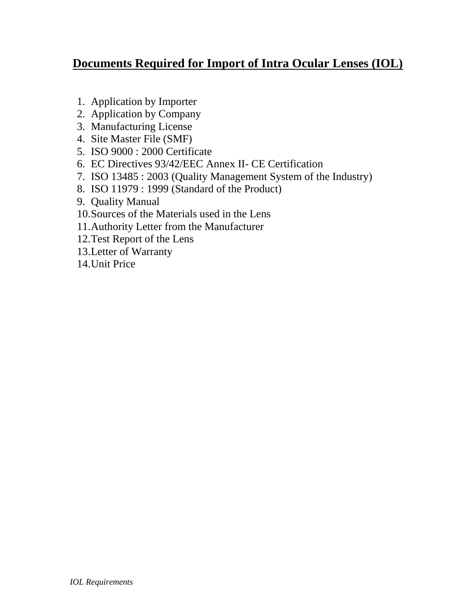# **Documents Required for Import of Intra Ocular Lenses (IOL)**

- 1. Application by Importer
- 2. Application by Company
- 3. Manufacturing License
- 4. Site Master File (SMF)
- 5. ISO 9000 : 2000 Certificate
- 6. EC Directives 93/42/EEC Annex II- CE Certification
- 7. ISO 13485 : 2003 (Quality Management System of the Industry)
- 8. ISO 11979 : 1999 (Standard of the Product)
- 9. Quality Manual
- 10.Sources of the Materials used in the Lens
- 11.Authority Letter from the Manufacturer
- 12.Test Report of the Lens
- 13.Letter of Warranty
- 14.Unit Price